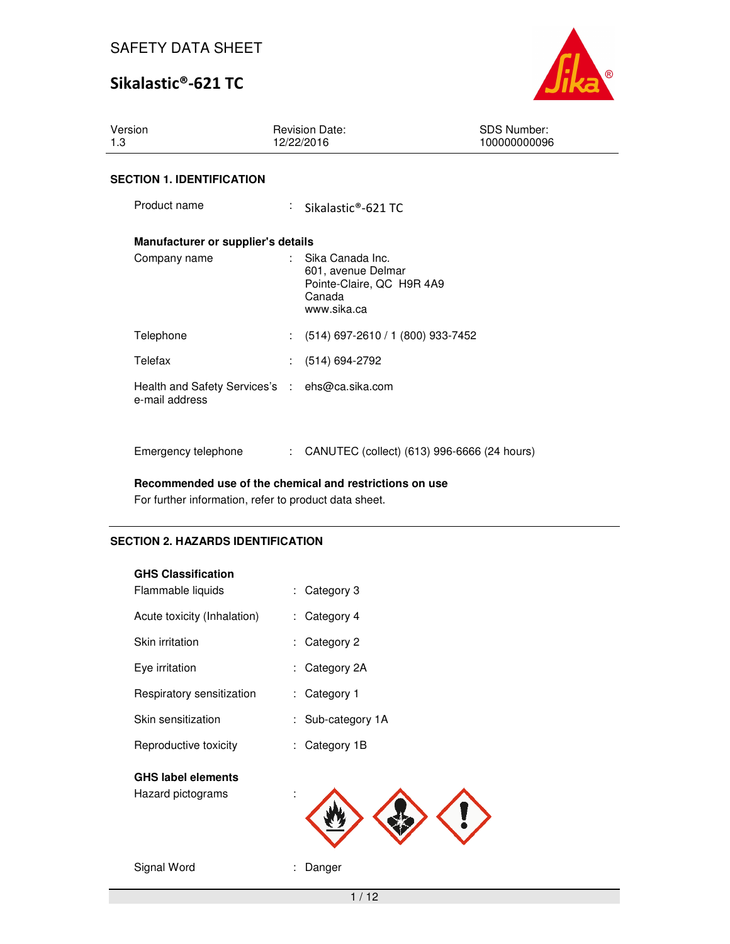# Sikalastic®-621 TC



| Version<br>1.3                                                   | <b>Revision Date:</b><br>12/22/2016 |                                                                                              | <b>SDS Number:</b><br>100000000096 |
|------------------------------------------------------------------|-------------------------------------|----------------------------------------------------------------------------------------------|------------------------------------|
| <b>SECTION 1. IDENTIFICATION</b>                                 |                                     |                                                                                              |                                    |
| Product name                                                     |                                     | Sikalastic®-621 TC                                                                           |                                    |
| Manufacturer or supplier's details                               |                                     |                                                                                              |                                    |
| Company name                                                     | t.                                  | Sika Canada Inc.<br>601, avenue Delmar<br>Pointe-Claire, QC H9R 4A9<br>Canada<br>www.sika.ca |                                    |
| Telephone                                                        |                                     | $(514)$ 697-2610 / 1 (800) 933-7452                                                          |                                    |
| Telefax                                                          |                                     | $(514) 694-2792$                                                                             |                                    |
| Health and Safety Services's : ehs@ca.sika.com<br>e-mail address |                                     |                                                                                              |                                    |
| Emergency telephone                                              | $\mathbb{R}^{n}$                    | CANUTEC (collect) (613) 996-6666 (24 hours)                                                  |                                    |

#### **Recommended use of the chemical and restrictions on use**

For further information, refer to product data sheet.

### **SECTION 2. HAZARDS IDENTIFICATION**

| <b>GHS Classification</b>                      |                  |
|------------------------------------------------|------------------|
| Flammable liquids                              | Category 3<br>÷. |
| Acute toxicity (Inhalation)                    | Category 4<br>÷. |
| Skin irritation                                | Category 2       |
| Eye irritation                                 | Category 2A      |
| Respiratory sensitization                      | Category 1       |
| Skin sensitization                             | Sub-category 1A  |
| Reproductive toxicity                          | Category 1B      |
| <b>GHS label elements</b><br>Hazard pictograms | t                |
| Signal Word                                    | Danger           |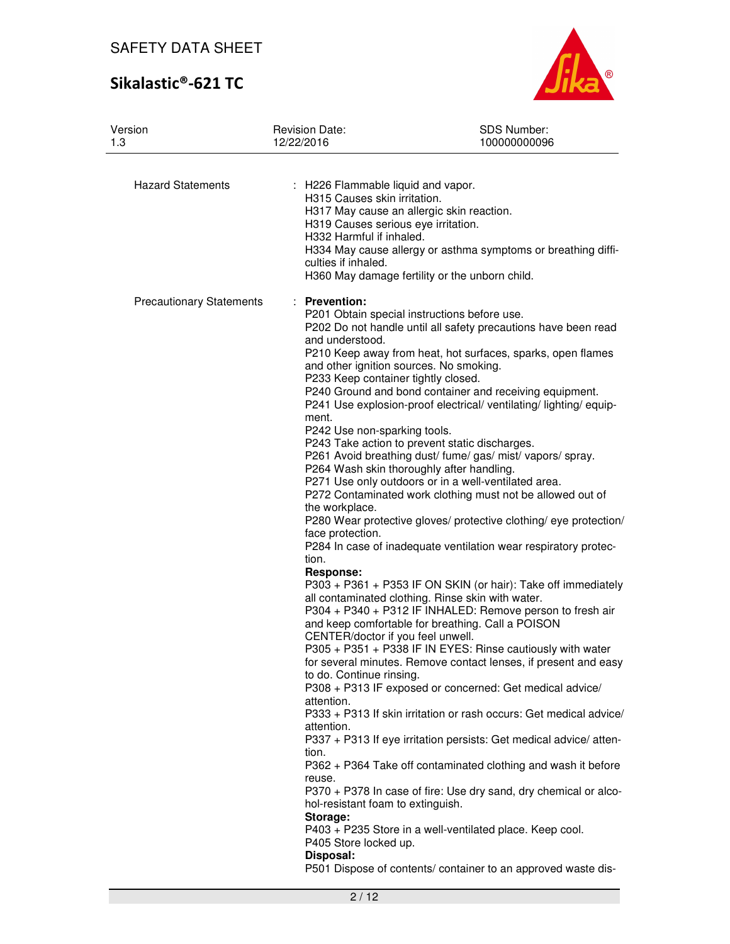# Sikalastic®-621 TC



| Version<br>1.3                  | <b>Revision Date:</b><br>12/22/2016                                                                                                                                                                                                                                                                                                                                                 | SDS Number:<br>100000000096                                                                                                                                                                                                                                                                                                                                                                                                                                                                                                                                                                                                                                                                                                                                                                                                                                                                                                                                                                                                                                                                                                                                                                                                                                                                                                                                                                                                                                                                                                                                                                                                          |
|---------------------------------|-------------------------------------------------------------------------------------------------------------------------------------------------------------------------------------------------------------------------------------------------------------------------------------------------------------------------------------------------------------------------------------|--------------------------------------------------------------------------------------------------------------------------------------------------------------------------------------------------------------------------------------------------------------------------------------------------------------------------------------------------------------------------------------------------------------------------------------------------------------------------------------------------------------------------------------------------------------------------------------------------------------------------------------------------------------------------------------------------------------------------------------------------------------------------------------------------------------------------------------------------------------------------------------------------------------------------------------------------------------------------------------------------------------------------------------------------------------------------------------------------------------------------------------------------------------------------------------------------------------------------------------------------------------------------------------------------------------------------------------------------------------------------------------------------------------------------------------------------------------------------------------------------------------------------------------------------------------------------------------------------------------------------------------|
| <b>Hazard Statements</b>        | : H226 Flammable liquid and vapor.<br>H315 Causes skin irritation.<br>H319 Causes serious eye irritation.<br>H332 Harmful if inhaled.<br>culties if inhaled.                                                                                                                                                                                                                        | H317 May cause an allergic skin reaction.<br>H334 May cause allergy or asthma symptoms or breathing diffi-<br>H360 May damage fertility or the unborn child.                                                                                                                                                                                                                                                                                                                                                                                                                                                                                                                                                                                                                                                                                                                                                                                                                                                                                                                                                                                                                                                                                                                                                                                                                                                                                                                                                                                                                                                                         |
| <b>Precautionary Statements</b> | : Prevention:<br>and understood.<br>P233 Keep container tightly closed.<br>ment.<br>P242 Use non-sparking tools.<br>the workplace.<br>face protection.<br>tion.<br>Response:<br>CENTER/doctor if you feel unwell.<br>to do. Continue rinsing.<br>attention.<br>attention.<br>tion.<br>reuse.<br>hol-resistant foam to extinguish.<br>Storage:<br>P405 Store locked up.<br>Disposal: | P201 Obtain special instructions before use.<br>P202 Do not handle until all safety precautions have been read<br>P210 Keep away from heat, hot surfaces, sparks, open flames<br>and other ignition sources. No smoking.<br>P240 Ground and bond container and receiving equipment.<br>P241 Use explosion-proof electrical/ventilating/lighting/equip-<br>P243 Take action to prevent static discharges.<br>P261 Avoid breathing dust/ fume/ gas/ mist/ vapors/ spray.<br>P264 Wash skin thoroughly after handling.<br>P271 Use only outdoors or in a well-ventilated area.<br>P272 Contaminated work clothing must not be allowed out of<br>P280 Wear protective gloves/ protective clothing/ eye protection/<br>P284 In case of inadequate ventilation wear respiratory protec-<br>P303 + P361 + P353 IF ON SKIN (or hair): Take off immediately<br>all contaminated clothing. Rinse skin with water.<br>P304 + P340 + P312 IF INHALED: Remove person to fresh air<br>and keep comfortable for breathing. Call a POISON<br>P305 + P351 + P338 IF IN EYES: Rinse cautiously with water<br>for several minutes. Remove contact lenses, if present and easy<br>P308 + P313 IF exposed or concerned: Get medical advice/<br>P333 + P313 If skin irritation or rash occurs: Get medical advice/<br>P337 + P313 If eye irritation persists: Get medical advice/ atten-<br>P362 + P364 Take off contaminated clothing and wash it before<br>P370 + P378 In case of fire: Use dry sand, dry chemical or alco-<br>P403 + P235 Store in a well-ventilated place. Keep cool.<br>P501 Dispose of contents/ container to an approved waste dis- |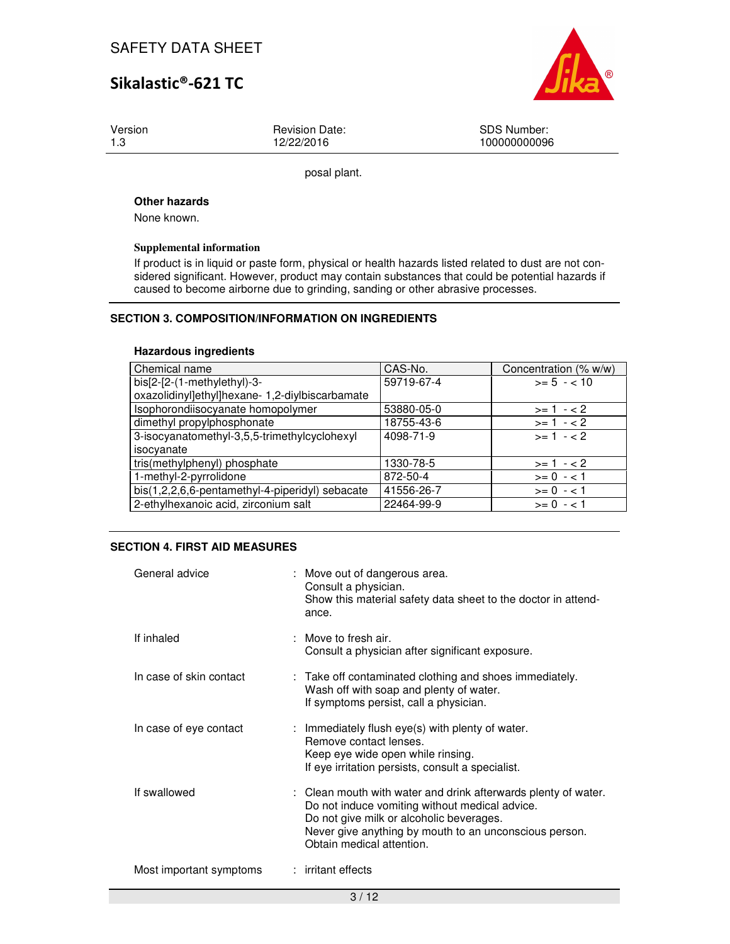Version 1.3

Revision Date: 12/22/2016

SDS Number: 100000000096

posal plant.

#### **Other hazards**

None known.

#### **Supplemental information**

If product is in liquid or paste form, physical or health hazards listed related to dust are not considered significant. However, product may contain substances that could be potential hazards if caused to become airborne due to grinding, sanding or other abrasive processes.

### **SECTION 3. COMPOSITION/INFORMATION ON INGREDIENTS**

#### **Hazardous ingredients**

| Chemical name                                   | CAS-No.    | Concentration (% w/w) |
|-------------------------------------------------|------------|-----------------------|
| bis[2-[2-(1-methylethyl)-3-                     | 59719-67-4 | $>= 5 - < 10$         |
| oxazolidinyl]ethyl]hexane- 1,2-diylbiscarbamate |            |                       |
| Isophorondiisocyanate homopolymer               | 53880-05-0 | $>= 1 - 2$            |
| dimethyl propylphosphonate                      | 18755-43-6 | $>= 1 - 2$            |
| 3-isocyanatomethyl-3,5,5-trimethylcyclohexyl    | 4098-71-9  | $>= 1 - 2$            |
| isocyanate                                      |            |                       |
| tris(methylphenyl) phosphate                    | 1330-78-5  | $>= 1 - 2$            |
| 1-methyl-2-pyrrolidone                          | 872-50-4   | $>= 0 - 1$            |
| bis(1,2,2,6,6-pentamethyl-4-piperidyl) sebacate | 41556-26-7 | $>= 0 - 1$            |
| 2-ethylhexanoic acid, zirconium salt            | 22464-99-9 | $>= 0 - 1$            |

#### **SECTION 4. FIRST AID MEASURES**

| General advice          | : Move out of dangerous area.<br>Consult a physician.<br>Show this material safety data sheet to the doctor in attend-<br>ance.                                                                                                                     |
|-------------------------|-----------------------------------------------------------------------------------------------------------------------------------------------------------------------------------------------------------------------------------------------------|
| If inhaled              | $\therefore$ Move to fresh air.<br>Consult a physician after significant exposure.                                                                                                                                                                  |
| In case of skin contact | : Take off contaminated clothing and shoes immediately.<br>Wash off with soap and plenty of water.<br>If symptoms persist, call a physician.                                                                                                        |
| In case of eye contact  | : Immediately flush eye(s) with plenty of water.<br>Remove contact lenses.<br>Keep eye wide open while rinsing.<br>If eye irritation persists, consult a specialist.                                                                                |
| If swallowed            | : Clean mouth with water and drink afterwards plenty of water.<br>Do not induce vomiting without medical advice.<br>Do not give milk or alcoholic beverages.<br>Never give anything by mouth to an unconscious person.<br>Obtain medical attention. |
| Most important symptoms | : irritant effects                                                                                                                                                                                                                                  |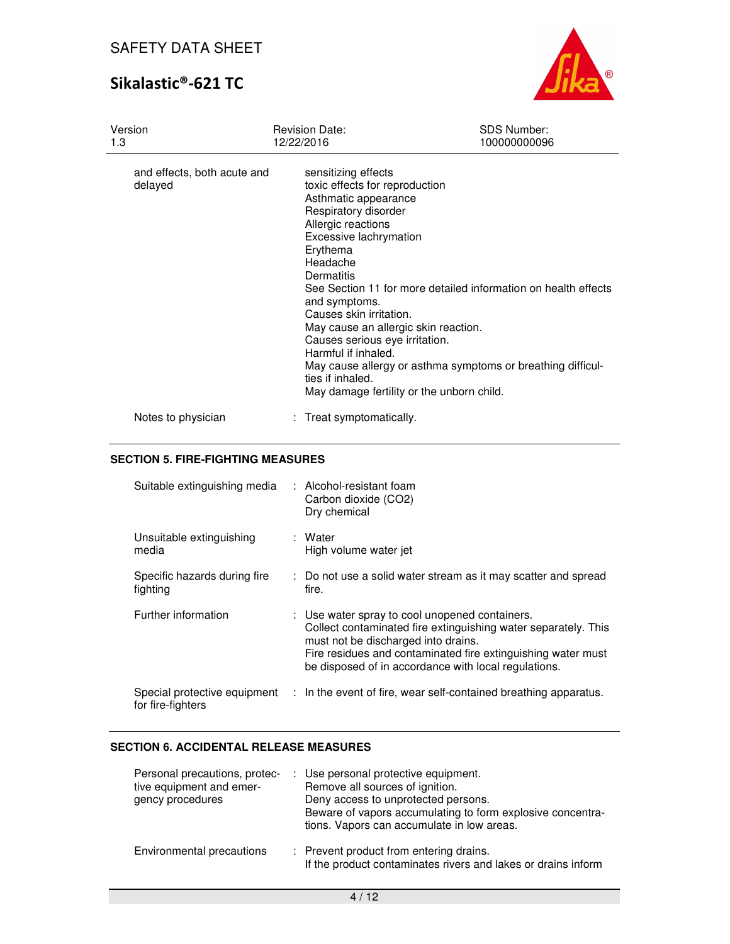# Sikalastic®-621 TC



| Version<br>1.3                         | <b>Revision Date:</b><br>12/22/2016                                                                                                                                                                                                                                                                                                                                                                       | <b>SDS Number:</b><br>100000000096                                                                                            |
|----------------------------------------|-----------------------------------------------------------------------------------------------------------------------------------------------------------------------------------------------------------------------------------------------------------------------------------------------------------------------------------------------------------------------------------------------------------|-------------------------------------------------------------------------------------------------------------------------------|
| and effects, both acute and<br>delayed | sensitizing effects<br>toxic effects for reproduction<br>Asthmatic appearance<br>Respiratory disorder<br>Allergic reactions<br>Excessive lachrymation<br>Erythema<br>Headache<br>Dermatitis<br>and symptoms.<br>Causes skin irritation.<br>May cause an allergic skin reaction.<br>Causes serious eye irritation.<br>Harmful if inhaled.<br>ties if inhaled.<br>May damage fertility or the unborn child. | See Section 11 for more detailed information on health effects<br>May cause allergy or asthma symptoms or breathing difficul- |
| Notes to physician                     | : Treat symptomatically.                                                                                                                                                                                                                                                                                                                                                                                  |                                                                                                                               |

### **SECTION 5. FIRE-FIGHTING MEASURES**

| Suitable extinguishing media             | : Alcohol-resistant foam<br>Carbon dioxide (CO2)<br>Dry chemical                                                                                                                                                                                                                |
|------------------------------------------|---------------------------------------------------------------------------------------------------------------------------------------------------------------------------------------------------------------------------------------------------------------------------------|
| Unsuitable extinguishing<br>media        | : Water<br>High volume water jet                                                                                                                                                                                                                                                |
| Specific hazards during fire<br>fighting | : Do not use a solid water stream as it may scatter and spread<br>fire.                                                                                                                                                                                                         |
| Further information                      | : Use water spray to cool unopened containers.<br>Collect contaminated fire extinguishing water separately. This<br>must not be discharged into drains.<br>Fire residues and contaminated fire extinguishing water must<br>be disposed of in accordance with local regulations. |
| for fire-fighters                        | Special protective equipment : In the event of fire, wear self-contained breathing apparatus.                                                                                                                                                                                   |

### **SECTION 6. ACCIDENTAL RELEASE MEASURES**

| Personal precautions, protec-<br>tive equipment and emer-<br>gency procedures | : Use personal protective equipment.<br>Remove all sources of ignition.<br>Deny access to unprotected persons.<br>Beware of vapors accumulating to form explosive concentra-<br>tions. Vapors can accumulate in low areas. |
|-------------------------------------------------------------------------------|----------------------------------------------------------------------------------------------------------------------------------------------------------------------------------------------------------------------------|
| Environmental precautions                                                     | : Prevent product from entering drains.<br>If the product contaminates rivers and lakes or drains inform                                                                                                                   |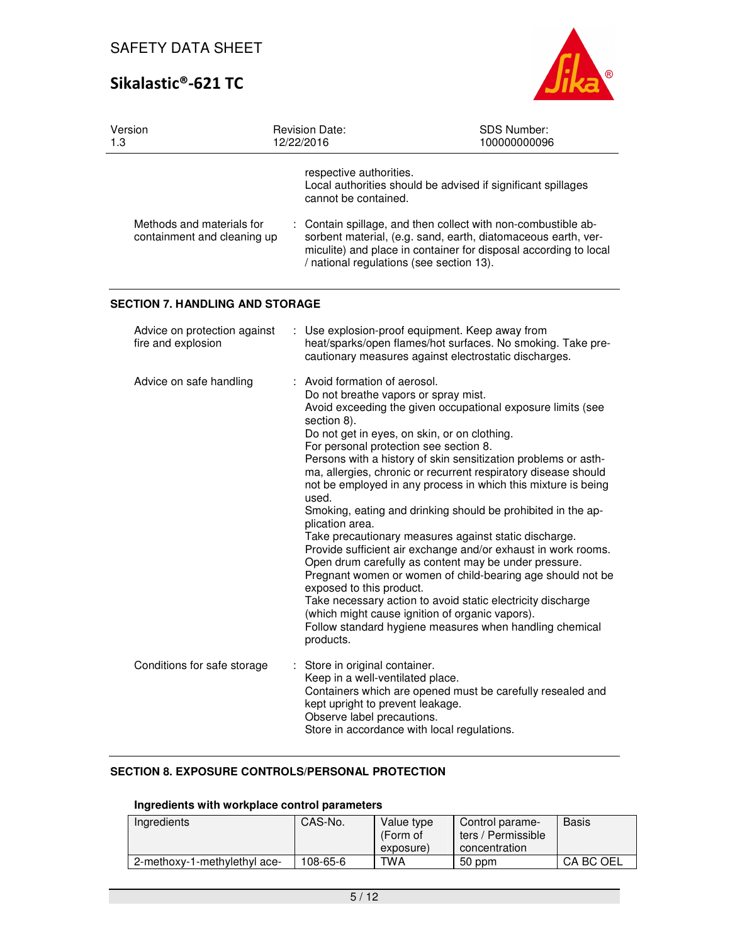

| Version<br>1.3                                           | <b>Revision Date:</b><br>12/22/2016                                                                                                                                                                 | SDS Number:<br>100000000096                                                                                                                                                                                                                                                                                                                                                                                                                                                                                                                                                                                                                                                                                                                                                                                    |
|----------------------------------------------------------|-----------------------------------------------------------------------------------------------------------------------------------------------------------------------------------------------------|----------------------------------------------------------------------------------------------------------------------------------------------------------------------------------------------------------------------------------------------------------------------------------------------------------------------------------------------------------------------------------------------------------------------------------------------------------------------------------------------------------------------------------------------------------------------------------------------------------------------------------------------------------------------------------------------------------------------------------------------------------------------------------------------------------------|
| Methods and materials for<br>containment and cleaning up | respective authorities.<br>cannot be contained.<br>/ national regulations (see section 13).                                                                                                         | Local authorities should be advised if significant spillages<br>Contain spillage, and then collect with non-combustible ab-<br>sorbent material, (e.g. sand, earth, diatomaceous earth, ver-<br>miculite) and place in container for disposal according to local                                                                                                                                                                                                                                                                                                                                                                                                                                                                                                                                               |
| <b>SECTION 7. HANDLING AND STORAGE</b>                   |                                                                                                                                                                                                     |                                                                                                                                                                                                                                                                                                                                                                                                                                                                                                                                                                                                                                                                                                                                                                                                                |
| Advice on protection against<br>fire and explosion       |                                                                                                                                                                                                     | Use explosion-proof equipment. Keep away from<br>heat/sparks/open flames/hot surfaces. No smoking. Take pre-<br>cautionary measures against electrostatic discharges.                                                                                                                                                                                                                                                                                                                                                                                                                                                                                                                                                                                                                                          |
| Advice on safe handling                                  | : Avoid formation of aerosol.<br>Do not breathe vapors or spray mist.<br>section 8).<br>For personal protection see section 8.<br>used.<br>plication area.<br>exposed to this product.<br>products. | Avoid exceeding the given occupational exposure limits (see<br>Do not get in eyes, on skin, or on clothing.<br>Persons with a history of skin sensitization problems or asth-<br>ma, allergies, chronic or recurrent respiratory disease should<br>not be employed in any process in which this mixture is being<br>Smoking, eating and drinking should be prohibited in the ap-<br>Take precautionary measures against static discharge.<br>Provide sufficient air exchange and/or exhaust in work rooms.<br>Open drum carefully as content may be under pressure.<br>Pregnant women or women of child-bearing age should not be<br>Take necessary action to avoid static electricity discharge<br>(which might cause ignition of organic vapors).<br>Follow standard hygiene measures when handling chemical |
| Conditions for safe storage                              | : Store in original container.<br>Keep in a well-ventilated place.<br>kept upright to prevent leakage.<br>Observe label precautions.                                                                | Containers which are opened must be carefully resealed and<br>Store in accordance with local regulations.                                                                                                                                                                                                                                                                                                                                                                                                                                                                                                                                                                                                                                                                                                      |

### **SECTION 8. EXPOSURE CONTROLS/PERSONAL PROTECTION**

### **Ingredients with workplace control parameters**

| Ingredients                  | CAS-No.  | Value type<br>(Form of<br>exposure) | Control parame-<br>ters / Permissible<br>concentration | <b>Basis</b> |
|------------------------------|----------|-------------------------------------|--------------------------------------------------------|--------------|
| 2-methoxy-1-methylethyl ace- | 108-65-6 | TWA                                 | 50 ppm                                                 | CA BC OEL    |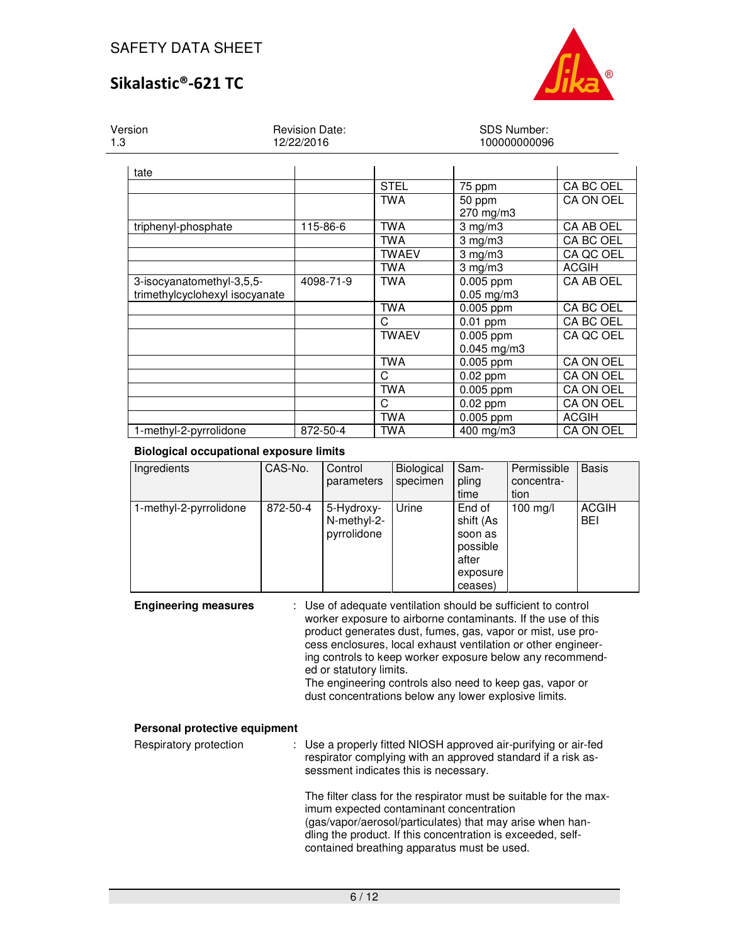

Version 1.3

Revision Date: 12/22/2016

#### SDS Number: 100000000096

| tate                           |           |              |                  |                  |
|--------------------------------|-----------|--------------|------------------|------------------|
|                                |           | <b>STEL</b>  | 75 ppm           | CA BC OEL        |
|                                |           | <b>TWA</b>   | 50 ppm           | CA ON OEL        |
|                                |           |              | 270 mg/m3        |                  |
| triphenyl-phosphate            | 115-86-6  | TWA          | $3$ mg/m $3$     | CA AB OEL        |
|                                |           | <b>TWA</b>   | $3$ mg/m $3$     | CA BC OEL        |
|                                |           | <b>TWAEV</b> | $3 \text{ mg/m}$ | CA QC OEL        |
|                                |           | <b>TWA</b>   | $3$ mg/m $3$     | <b>ACGIH</b>     |
| 3-isocyanatomethyl-3,5,5-      | 4098-71-9 | <b>TWA</b>   | 0.005 ppm        | CA AB OEL        |
| trimethylcyclohexyl isocyanate |           |              | $0.05$ mg/m $3$  |                  |
|                                |           | <b>TWA</b>   | $0.005$ ppm      | CA BC OEL        |
|                                |           | C            | $0.01$ ppm       | CA BC OEL        |
|                                |           | <b>TWAEV</b> | $0.005$ ppm      | CA QC OEL        |
|                                |           |              | $0.045$ mg/m3    |                  |
|                                |           | <b>TWA</b>   | $0.005$ ppm      | CA ON OEL        |
|                                |           | C            | $0.02$ ppm       | CA ON OEL        |
|                                |           | <b>TWA</b>   | $0.005$ ppm      | CA ON OEL        |
|                                |           | C            | $0.02$ ppm       | <b>CA ON OEL</b> |
|                                |           | <b>TWA</b>   | 0.005 ppm        | <b>ACGIH</b>     |
| 1-methyl-2-pyrrolidone         | 872-50-4  | TWA          | 400 mg/m3        | CA ON OEL        |

### **Biological occupational exposure limits**

| Ingredients            | CAS-No.  | Control     | <b>Biological</b> | Sam-      | Permissible        | <b>Basis</b> |
|------------------------|----------|-------------|-------------------|-----------|--------------------|--------------|
|                        |          | parameters  | specimen          | pling     | concentra-         |              |
|                        |          |             |                   | time      | tion               |              |
| 1-methyl-2-pyrrolidone | 872-50-4 | 5-Hydroxy-  | Urine             | End of    | $100 \text{ mg/l}$ | <b>ACGIH</b> |
|                        |          | N-methyl-2- |                   | shift (As |                    | <b>BEI</b>   |
|                        |          | pyrrolidone |                   | soon as   |                    |              |
|                        |          |             |                   | possible  |                    |              |
|                        |          |             |                   | after     |                    |              |
|                        |          |             |                   | exposure  |                    |              |
|                        |          |             |                   | ceases)   |                    |              |

**Engineering measures** : Use of adequate ventilation should be sufficient to control worker exposure to airborne contaminants. If the use of this product generates dust, fumes, gas, vapor or mist, use process enclosures, local exhaust ventilation or other engineering controls to keep worker exposure below any recommended or statutory limits. The engineering controls also need to keep gas, vapor or

dust concentrations below any lower explosive limits.

### **Personal protective equipment**

| Respiratory protection | : Use a properly fitted NIOSH approved air-purifying or air-fed<br>respirator complying with an approved standard if a risk as-<br>sessment indicates this is necessary.                                                                                                                |
|------------------------|-----------------------------------------------------------------------------------------------------------------------------------------------------------------------------------------------------------------------------------------------------------------------------------------|
|                        | The filter class for the respirator must be suitable for the max-<br>imum expected contaminant concentration<br>(gas/vapor/aerosol/particulates) that may arise when han-<br>dling the product. If this concentration is exceeded, self-<br>contained breathing apparatus must be used. |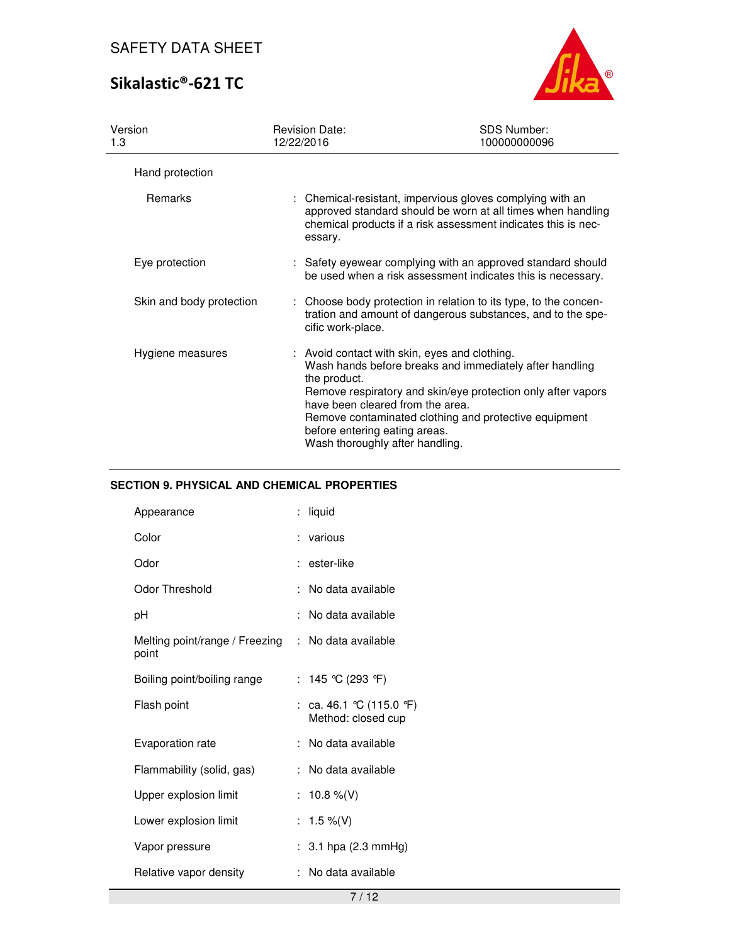# Sikalastic®-621 TC



| Version<br>1.3           | <b>Revision Date:</b><br>12/22/2016                                                                                                                                   | <b>SDS Number:</b><br>100000000096                                                                                                                                                        |
|--------------------------|-----------------------------------------------------------------------------------------------------------------------------------------------------------------------|-------------------------------------------------------------------------------------------------------------------------------------------------------------------------------------------|
| Hand protection          |                                                                                                                                                                       |                                                                                                                                                                                           |
| Remarks                  | essary.                                                                                                                                                               | : Chemical-resistant, impervious gloves complying with an<br>approved standard should be worn at all times when handling<br>chemical products if a risk assessment indicates this is nec- |
| Eye protection           |                                                                                                                                                                       | : Safety eyewear complying with an approved standard should<br>be used when a risk assessment indicates this is necessary.                                                                |
| Skin and body protection | cific work-place.                                                                                                                                                     | : Choose body protection in relation to its type, to the concen-<br>tration and amount of dangerous substances, and to the spe-                                                           |
| Hygiene measures         | : Avoid contact with skin, eyes and clothing.<br>the product.<br>have been cleared from the area.<br>before entering eating areas.<br>Wash thoroughly after handling. | Wash hands before breaks and immediately after handling<br>Remove respiratory and skin/eye protection only after vapors<br>Remove contaminated clothing and protective equipment          |

### **SECTION 9. PHYSICAL AND CHEMICAL PROPERTIES**

| Appearance                              | liquid                                       |
|-----------------------------------------|----------------------------------------------|
| Color                                   | : various                                    |
| Odor                                    | : ester-like                                 |
| Odor Threshold                          | : No data available                          |
| рH                                      | No data available                            |
| Melting point/range / Freezing<br>point | : No data available                          |
| Boiling point/boiling range             | : 145 °C (293 °F)                            |
| Flash point                             | : ca. 46.1 ℃ (115.0 ℉)<br>Method: closed cup |
| Evaporation rate                        | : No data available                          |
| Flammability (solid, gas)               | : No data available                          |
| Upper explosion limit                   | : 10.8 %(V)                                  |
| Lower explosion limit                   | : 1.5 %(V)                                   |
| Vapor pressure                          | : 3.1 hpa $(2.3 \text{ mmHg})$               |
| Relative vapor density                  | No data available                            |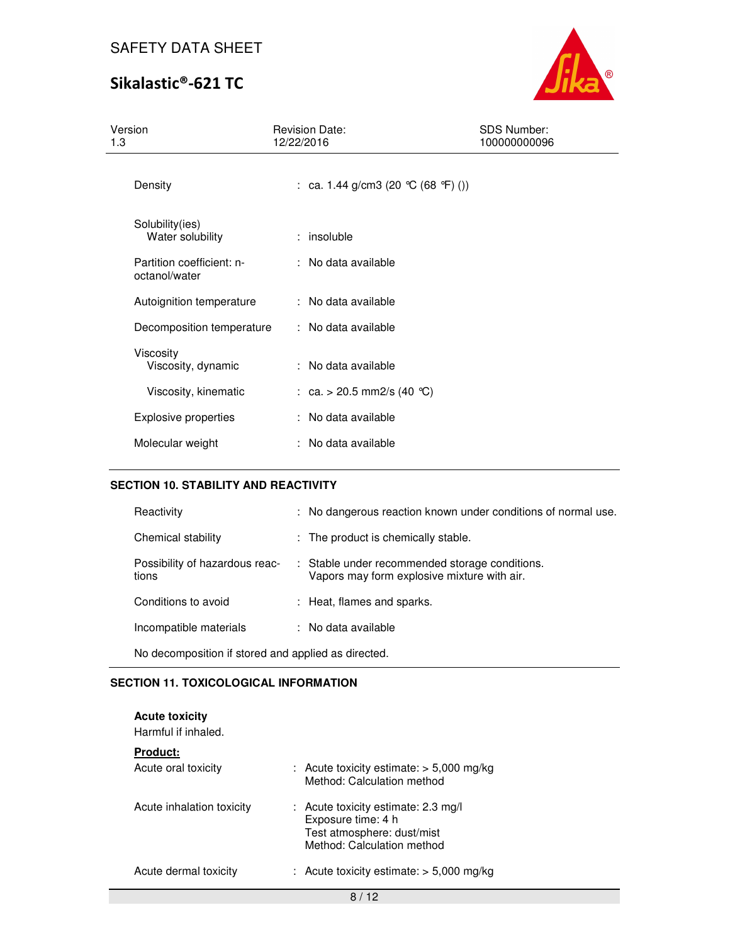# Sikalastic®-621 TC



| Version<br>1.3                             | <b>Revision Date:</b><br>12/22/2016 | <b>SDS Number:</b><br>100000000096 |  |
|--------------------------------------------|-------------------------------------|------------------------------------|--|
| Density                                    | : ca. 1.44 g/cm3 (20 °C (68 °F) ()) |                                    |  |
| Solubility(ies)<br>Water solubility        | : insoluble                         |                                    |  |
| Partition coefficient: n-<br>octanol/water | : No data available                 |                                    |  |
| Autoignition temperature                   | : No data available                 |                                    |  |
| Decomposition temperature                  | : No data available                 |                                    |  |
| Viscosity<br>Viscosity, dynamic            | : No data available                 |                                    |  |
| Viscosity, kinematic                       | : ca. > 20.5 mm2/s (40 °C)          |                                    |  |
| <b>Explosive properties</b>                | : No data available                 |                                    |  |
| Molecular weight                           | : No data available                 |                                    |  |

#### **SECTION 10. STABILITY AND REACTIVITY**

| Reactivity                                          | : No dangerous reaction known under conditions of normal use.                                 |  |
|-----------------------------------------------------|-----------------------------------------------------------------------------------------------|--|
| Chemical stability                                  | : The product is chemically stable.                                                           |  |
| Possibility of hazardous reac-<br>tions             | : Stable under recommended storage conditions.<br>Vapors may form explosive mixture with air. |  |
| Conditions to avoid                                 | : Heat, flames and sparks.                                                                    |  |
| Incompatible materials                              | : No data available                                                                           |  |
| No decomposition if stored and applied as directed. |                                                                                               |  |

### **SECTION 11. TOXICOLOGICAL INFORMATION**

| <b>Acute toxicity</b><br>Harmful if inhaled. |                                                                                                                         |
|----------------------------------------------|-------------------------------------------------------------------------------------------------------------------------|
| <b>Product:</b>                              |                                                                                                                         |
| Acute oral toxicity                          | : Acute toxicity estimate: $>$ 5,000 mg/kg<br>Method: Calculation method                                                |
| Acute inhalation toxicity                    | $:$ Acute toxicity estimate: 2.3 mg/l<br>Exposure time: 4 h<br>Test atmosphere: dust/mist<br>Method: Calculation method |
| Acute dermal toxicity                        | : Acute toxicity estimate: $>$ 5,000 mg/kg                                                                              |
|                                              |                                                                                                                         |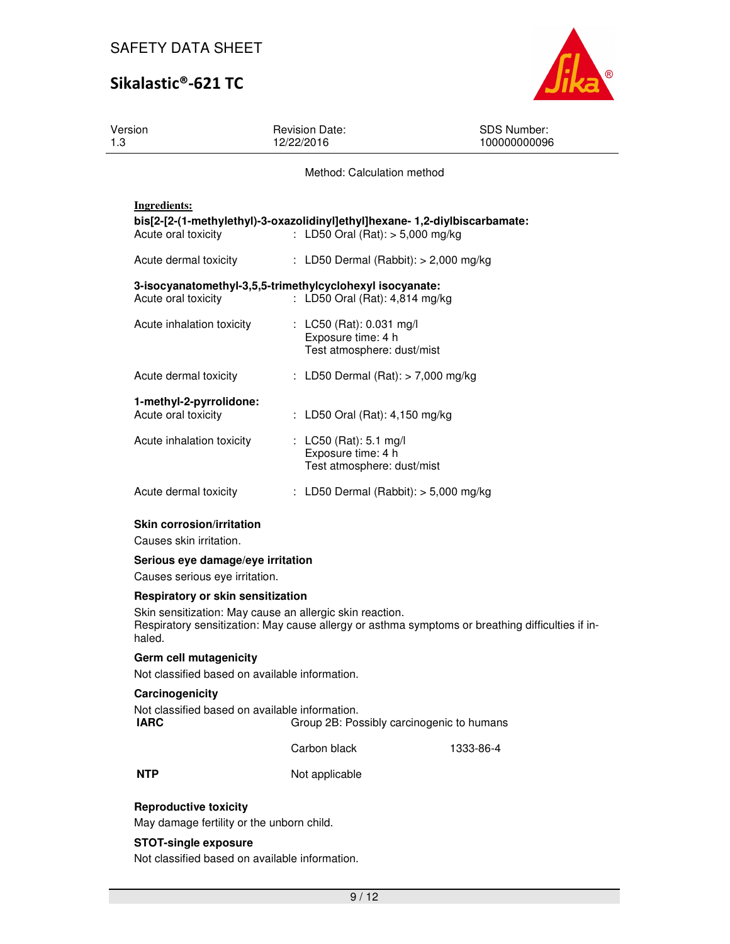

| Version<br>1.3                                                                                           | <b>Revision Date:</b><br>12/22/2016                                                                              | <b>SDS Number:</b><br>100000000096                                                               |
|----------------------------------------------------------------------------------------------------------|------------------------------------------------------------------------------------------------------------------|--------------------------------------------------------------------------------------------------|
|                                                                                                          | Method: Calculation method                                                                                       |                                                                                                  |
| <b>Ingredients:</b><br>Acute oral toxicity                                                               | bis[2-[2-(1-methylethyl)-3-oxazolidinyl]ethyl]hexane-1,2-diylbiscarbamate:<br>: LD50 Oral (Rat): $> 5,000$ mg/kg |                                                                                                  |
| Acute dermal toxicity                                                                                    | : LD50 Dermal (Rabbit): $> 2,000$ mg/kg                                                                          |                                                                                                  |
| Acute oral toxicity                                                                                      | 3-isocyanatomethyl-3,5,5-trimethylcyclohexyl isocyanate:<br>: LD50 Oral (Rat): 4,814 mg/kg                       |                                                                                                  |
| Acute inhalation toxicity                                                                                | : LC50 (Rat): 0.031 mg/l<br>Exposure time: 4 h<br>Test atmosphere: dust/mist                                     |                                                                                                  |
| Acute dermal toxicity                                                                                    | : LD50 Dermal (Rat): > 7,000 mg/kg                                                                               |                                                                                                  |
| 1-methyl-2-pyrrolidone:<br>Acute oral toxicity                                                           | : LD50 Oral (Rat): 4,150 mg/kg                                                                                   |                                                                                                  |
| Acute inhalation toxicity                                                                                | : LC50 (Rat): 5.1 mg/l<br>Exposure time: 4 h<br>Test atmosphere: dust/mist                                       |                                                                                                  |
| Acute dermal toxicity                                                                                    | : LD50 Dermal (Rabbit): $>$ 5,000 mg/kg                                                                          |                                                                                                  |
| <b>Skin corrosion/irritation</b><br>Causes skin irritation.                                              |                                                                                                                  |                                                                                                  |
| Serious eye damage/eye irritation<br>Causes serious eye irritation.                                      |                                                                                                                  |                                                                                                  |
| Respiratory or skin sensitization                                                                        |                                                                                                                  |                                                                                                  |
| haled.                                                                                                   | Skin sensitization: May cause an allergic skin reaction.                                                         | Respiratory sensitization: May cause allergy or asthma symptoms or breathing difficulties if in- |
| Germ cell mutagenicity                                                                                   |                                                                                                                  |                                                                                                  |
| Not classified based on available information.                                                           |                                                                                                                  |                                                                                                  |
| Carcinogenicity<br>Not classified based on available information.<br>IARC                                | Group 2B: Possibly carcinogenic to humans                                                                        |                                                                                                  |
|                                                                                                          | Carbon black                                                                                                     | 1333-86-4                                                                                        |
| <b>NTP</b>                                                                                               | Not applicable                                                                                                   |                                                                                                  |
| <b>Reproductive toxicity</b><br>May damage fertility or the unborn child.<br><b>STOT-single exposure</b> |                                                                                                                  |                                                                                                  |

Not classified based on available information.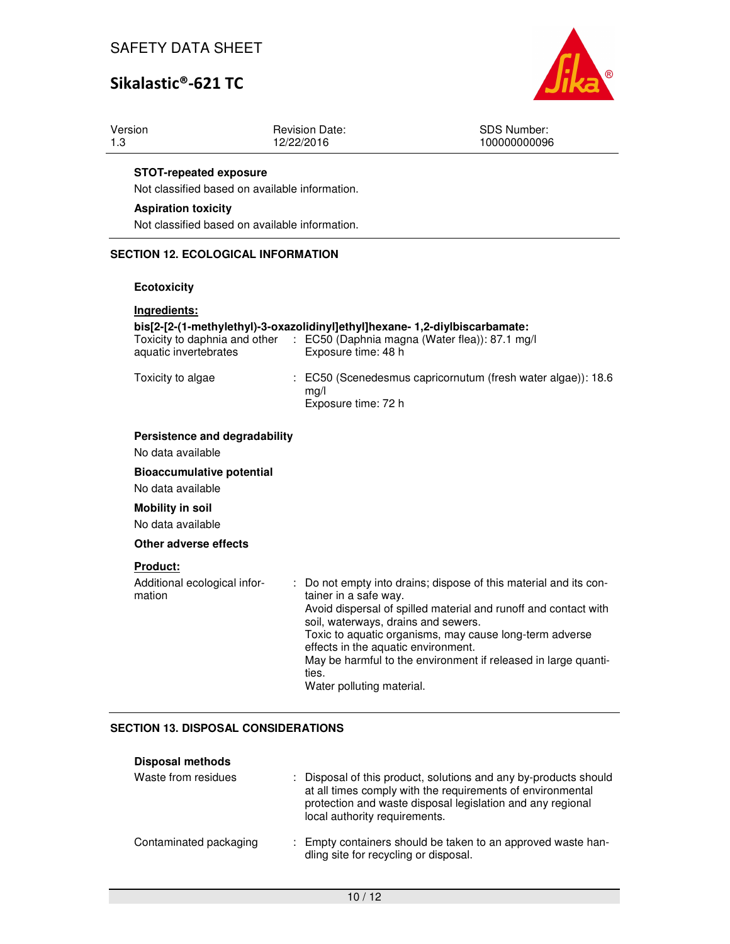# Sikalastic®-621 TC



| Version | Revision Date: | SDS Number:  |
|---------|----------------|--------------|
| 1.3     | 12/22/2016     | 100000000096 |
|         |                |              |

#### **STOT-repeated exposure**

Not classified based on available information.

#### **Aspiration toxicity**

Not classified based on available information.

### **SECTION 12. ECOLOGICAL INFORMATION**

#### **Ecotoxicity**

### **Ingredients: bis[2-[2-(1-methylethyl)-3-oxazolidinyl]ethyl]hexane- 1,2-diylbiscarbamate:**  Toxicity to daphnia and other : EC50 (Daphnia magna (Water flea)): 87.1 mg/l aquatic invertebrates Exposure time: 48 h Toxicity to algae : EC50 (Scenedesmus capricornutum (fresh water algae)): 18.6 mg/l Exposure time: 72 h **Persistence and degradability**  No data available **Bioaccumulative potential**  No data available **Mobility in soil**  No data available **Other adverse effects**

### **Product:**

| Additional ecological infor-<br>mation | Do not empty into drains; dispose of this material and its con-<br>÷.<br>tainer in a safe way.<br>Avoid dispersal of spilled material and runoff and contact with<br>soil, waterways, drains and sewers.<br>Toxic to aquatic organisms, may cause long-term adverse<br>effects in the aquatic environment.<br>May be harmful to the environment if released in large quanti-<br>ties.<br>Water polluting material. |
|----------------------------------------|--------------------------------------------------------------------------------------------------------------------------------------------------------------------------------------------------------------------------------------------------------------------------------------------------------------------------------------------------------------------------------------------------------------------|
|----------------------------------------|--------------------------------------------------------------------------------------------------------------------------------------------------------------------------------------------------------------------------------------------------------------------------------------------------------------------------------------------------------------------------------------------------------------------|

### **SECTION 13. DISPOSAL CONSIDERATIONS**

| <b>Disposal methods</b> |  |
|-------------------------|--|
|-------------------------|--|

| Waste from residues    | : Disposal of this product, solutions and any by-products should<br>at all times comply with the requirements of environmental<br>protection and waste disposal legislation and any regional<br>local authority requirements. |
|------------------------|-------------------------------------------------------------------------------------------------------------------------------------------------------------------------------------------------------------------------------|
| Contaminated packaging | : Empty containers should be taken to an approved waste han-<br>dling site for recycling or disposal.                                                                                                                         |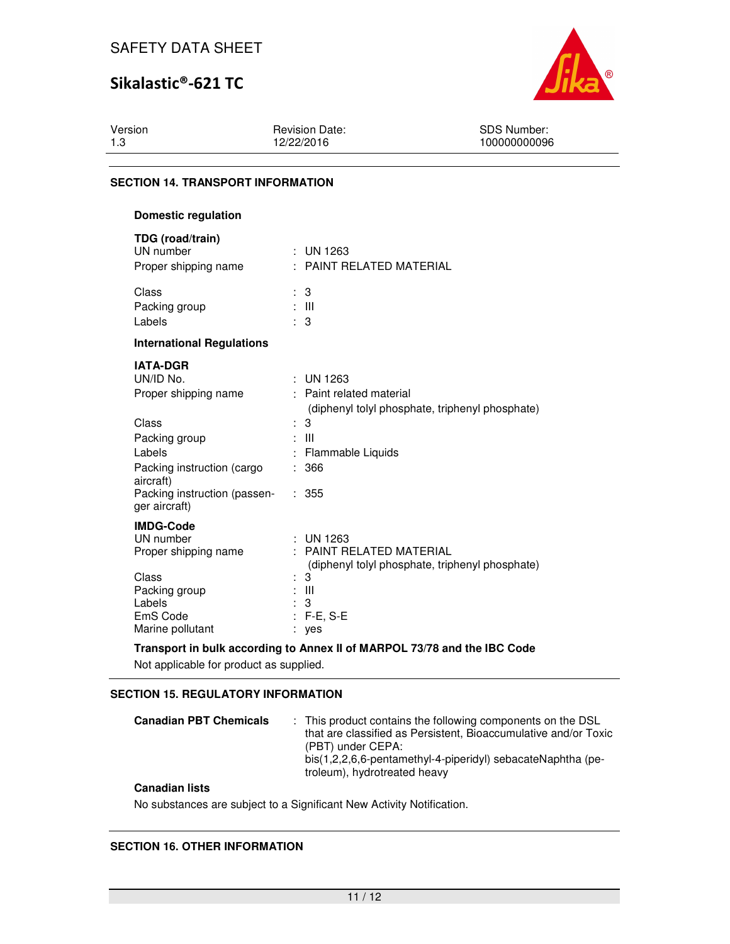# Sikalastic®-621 TC



Version 1.3

Revision Date: 12/22/2016

SDS Number: 100000000096

### **SECTION 14. TRANSPORT INFORMATION**

| Domestic regulation                                                                                                                                                                  |                                                                                                                                                                 |
|--------------------------------------------------------------------------------------------------------------------------------------------------------------------------------------|-----------------------------------------------------------------------------------------------------------------------------------------------------------------|
| TDG (road/train)<br>UN number<br>Proper shipping name                                                                                                                                | : UN 1263<br>: PAINT RELATED MATERIAL                                                                                                                           |
| Class<br>Packing group<br>Labels                                                                                                                                                     | 3<br>: III<br>÷<br>3                                                                                                                                            |
| <b>International Regulations</b>                                                                                                                                                     |                                                                                                                                                                 |
| <b>IATA-DGR</b><br>UN/ID No.<br>Proper shipping name<br>Class<br>Packing group<br>Labels<br>Packing instruction (cargo<br>aircraft)<br>Packing instruction (passen-<br>ger aircraft) | $\pm$ UN 1263<br>: Paint related material<br>(diphenyl tolyl phosphate, triphenyl phosphate)<br>: 3<br>: III<br>Flammable Liquids<br>366<br>÷<br>: 355          |
| <b>IMDG-Code</b><br>UN number<br>Proper shipping name<br>Class<br>Packing group<br>Labels<br>EmS Code<br>Marine pollutant                                                            | UN 1263<br><b>PAINT RELATED MATERIAL</b><br>$\sim$<br>(diphenyl tolyl phosphate, triphenyl phosphate)<br>3<br>÷<br>- III<br>÷<br>3<br>÷<br>$F-E$ , $S-E$<br>yes |

**Transport in bulk according to Annex II of MARPOL 73/78 and the IBC Code** 

Not applicable for product as supplied.

### **SECTION 15. REGULATORY INFORMATION**

| <b>Canadian PBT Chemicals</b> |  | : This product contains the following components on the DSL<br>that are classified as Persistent, Bioaccumulative and/or Toxic<br>(PBT) under CEPA:<br>bis(1,2,2,6,6-pentamethyl-4-piperidyl) sebacateNaphtha (pe-<br>troleum), hydrotreated heavy |
|-------------------------------|--|----------------------------------------------------------------------------------------------------------------------------------------------------------------------------------------------------------------------------------------------------|
|-------------------------------|--|----------------------------------------------------------------------------------------------------------------------------------------------------------------------------------------------------------------------------------------------------|

### **Canadian lists**

No substances are subject to a Significant New Activity Notification.

### **SECTION 16. OTHER INFORMATION**